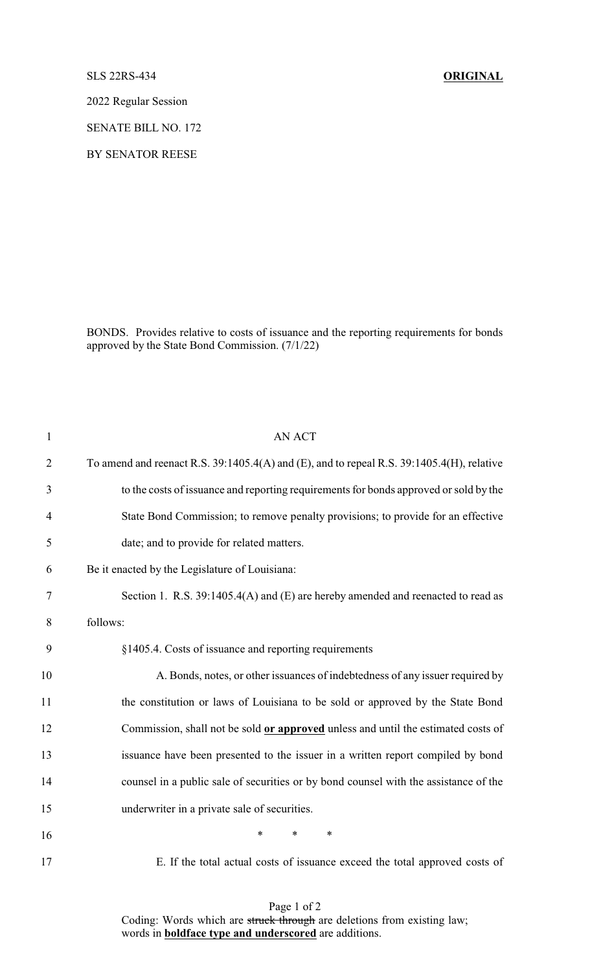## SLS 22RS-434 **ORIGINAL**

2022 Regular Session

SENATE BILL NO. 172

BY SENATOR REESE

BONDS. Provides relative to costs of issuance and the reporting requirements for bonds approved by the State Bond Commission. (7/1/22)

| $\mathbf{1}$   | <b>AN ACT</b>                                                                             |  |  |
|----------------|-------------------------------------------------------------------------------------------|--|--|
| $\overline{2}$ | To amend and reenact R.S. 39:1405.4(A) and (E), and to repeal R.S. 39:1405.4(H), relative |  |  |
| 3              | to the costs of issuance and reporting requirements for bonds approved or sold by the     |  |  |
| $\overline{4}$ | State Bond Commission; to remove penalty provisions; to provide for an effective          |  |  |
| 5              | date; and to provide for related matters.                                                 |  |  |
| 6              | Be it enacted by the Legislature of Louisiana:                                            |  |  |
| $\tau$         | Section 1. R.S. 39:1405.4(A) and (E) are hereby amended and reenacted to read as          |  |  |
| 8              | follows:                                                                                  |  |  |
| 9              | §1405.4. Costs of issuance and reporting requirements                                     |  |  |
| 10             | A. Bonds, notes, or other issuances of indebtedness of any issuer required by             |  |  |
| 11             | the constitution or laws of Louisiana to be sold or approved by the State Bond            |  |  |
| 12             | Commission, shall not be sold or approved unless and until the estimated costs of         |  |  |
| 13             | issuance have been presented to the issuer in a written report compiled by bond           |  |  |
| 14             | counsel in a public sale of securities or by bond counsel with the assistance of the      |  |  |
| 15             | underwriter in a private sale of securities.                                              |  |  |
| 16             | $\ast$<br>$\ast$<br>$\ast$                                                                |  |  |
| 17             | E. If the total actual costs of issuance exceed the total approved costs of               |  |  |

Page 1 of 2 Coding: Words which are struck through are deletions from existing law; words in **boldface type and underscored** are additions.